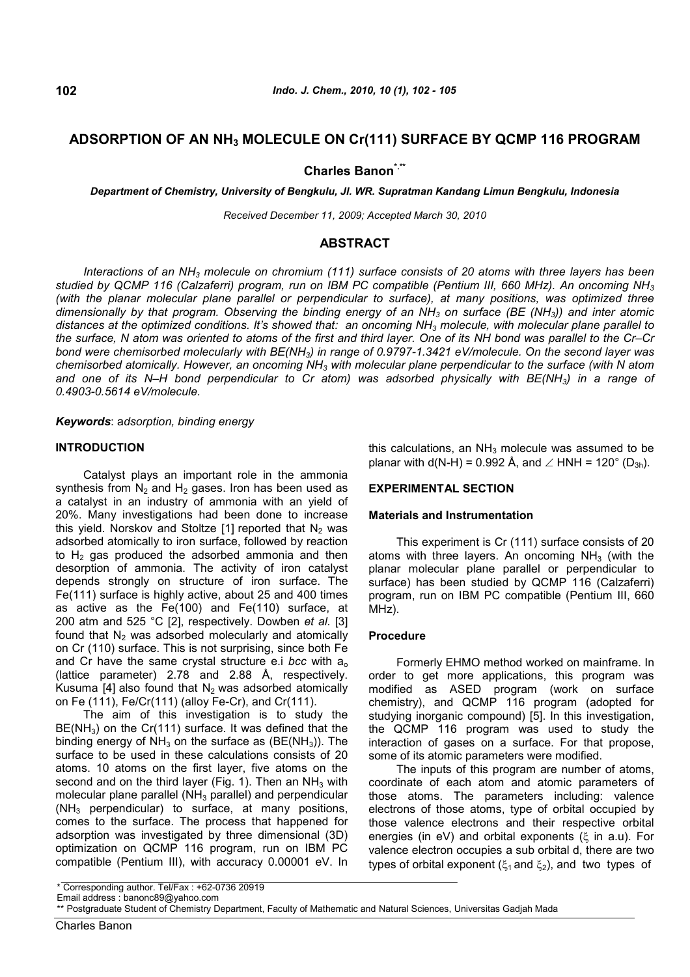# **ADSORPTION OF AN NH<sup>3</sup> MOLECULE ON Cr(111) SURFACE BY QCMP 116 PROGRAM**

# **Charles Banon\*.\*\***

*Department of Chemistry, University of Bengkulu, Jl. WR. Supratman Kandang Limun Bengkulu, Indonesia*

*Received December 11, 2009; Accepted March 30, 2010*

## **ABSTRACT**

*Interactions of an NH<sup>3</sup> molecule on chromium (111) surface consists of 20 atoms with three layers has been studied by QCMP 116 (Calzaferri) program, run on IBM PC compatible (Pentium III, 660 MHz). An oncoming NH<sup>3</sup> (with the planar molecular plane parallel or perpendicular to surface), at many positions, was optimized three dimensionally by that program. Observing the binding energy of an NH<sup>3</sup> on surface (BE (NH3)) and inter atomic distances at the optimized conditions. It's showed that: an oncoming NH<sup>3</sup> molecule, with molecular plane parallel to the surface, N atom was oriented to atoms of the first and third layer. One of its NH bond was parallel to the Cr–Cr bond were chemisorbed molecularly with BE(NH3) in range of 0.9797-1.3421 eV/molecule. On the second layer was chemisorbed atomically. However, an oncoming NH<sup>3</sup> with molecular plane perpendicular to the surface (with N atom and one of its N–H bond perpendicular to Cr atom) was adsorbed physically with BE(NH3) in a range of 0.4903-0.5614 eV/molecule.*

*Keywords*: a*dsorption, binding energy*

## **INTRODUCTION**

Catalyst plays an important role in the ammonia synthesis from  $N_2$  and  $H_2$  gases. Iron has been used as a catalyst in an industry of ammonia with an yield of 20%. Many investigations had been done to increase this yield. Norskov and Stoltze [1] reported that  $N_2$  was adsorbed atomically to iron surface, followed by reaction to  $H<sub>2</sub>$  gas produced the adsorbed ammonia and then desorption of ammonia. The activity of iron catalyst depends strongly on structure of iron surface. The Fe(111) surface is highly active, about 25 and 400 times as active as the Fe(100) and Fe(110) surface, at 200 atm and 525 °C [2], respectively. Dowben *et al.* [3] found that  $N_2$  was adsorbed molecularly and atomically on Cr (110) surface. This is not surprising, since both Fe and Cr have the same crystal structure e.i *bcc* with a<sup>o</sup> (lattice parameter) 2.78 and 2.88 Å, respectively. Kusuma [4] also found that  $N_2$  was adsorbed atomically on Fe (111), Fe/Cr(111) (alloy Fe-Cr), and Cr(111).

The aim of this investigation is to study the  $BE(NH<sub>3</sub>)$  on the Cr(111) surface. It was defined that the binding energy of  $NH<sub>3</sub>$  on the surface as (BE(NH<sub>3</sub>)). The surface to be used in these calculations consists of 20 atoms. 10 atoms on the first layer, five atoms on the second and on the third layer (Fig. 1). Then an  $NH<sub>3</sub>$  with molecular plane parallel  $(NH_3$  parallel) and perpendicular  $(NH<sub>3</sub>$  perpendicular) to surface, at many positions, comes to the surface. The process that happened for adsorption was investigated by three dimensional (3D) optimization on QCMP 116 program, run on IBM PC compatible (Pentium III), with accuracy 0.00001 eV. In this calculations, an  $NH<sub>3</sub>$  molecule was assumed to be planar with  $d(N-H) = 0.992 \text{ Å}$ , and  $\angle HNH = 120^{\circ}$  (D<sub>3h</sub>).

## **EXPERIMENTAL SECTION**

#### **Materials and Instrumentation**

This experiment is Cr (111) surface consists of 20 atoms with three layers. An oncoming  $NH<sub>3</sub>$  (with the planar molecular plane parallel or perpendicular to surface) has been studied by QCMP 116 (Calzaferri) program, run on IBM PC compatible (Pentium III, 660 MHz).

#### **Procedure**

Formerly EHMO method worked on mainframe. In order to get more applications, this program was modified as ASED program (work on surface chemistry), and QCMP 116 program (adopted for studying inorganic compound) [5]. In this investigation, the QCMP 116 program was used to study the interaction of gases on a surface. For that propose, some of its atomic parameters were modified.

The inputs of this program are number of atoms, coordinate of each atom and atomic parameters of those atoms. The parameters including: valence electrons of those atoms, type of orbital occupied by those valence electrons and their respective orbital energies (in eV) and orbital exponents ( $\xi$  in a.u). For valence electron occupies a sub orbital d, there are two types of orbital exponent ( $\xi_1$  and  $\xi_2$ ), and two types of

<sup>\*</sup> Corresponding author. Tel/Fax : +62-0736 20919

Email address : banonc89@yahoo.com

<sup>\*\*</sup> Postgraduate Student of Chemistry Department, Faculty of Mathematic and Natural Sciences, Universitas Gadjah Mada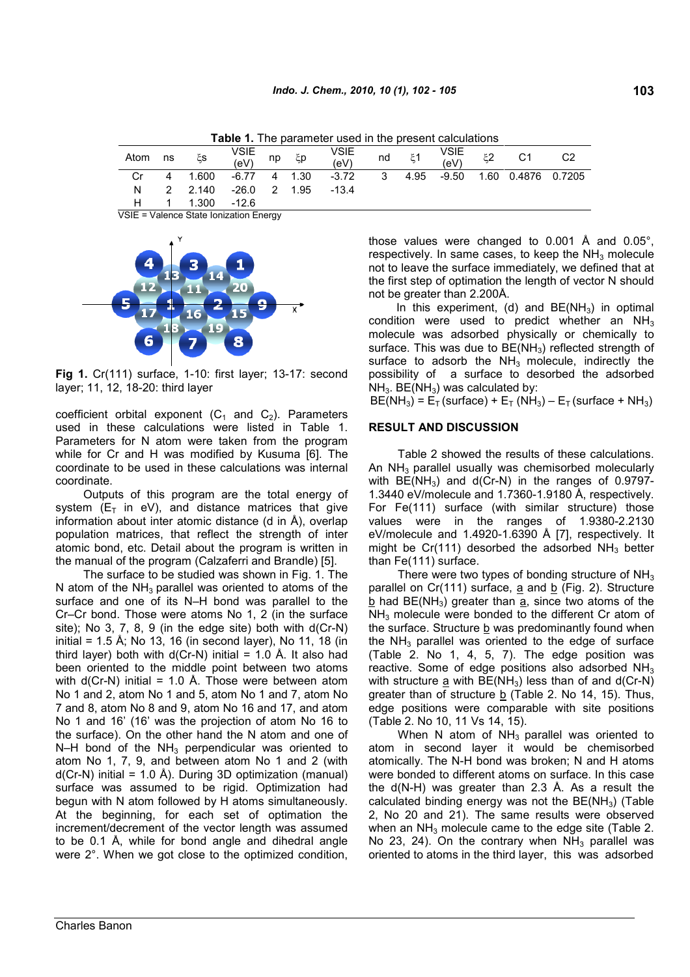| Atom | ns | ٤s                   | VSIE<br>(eV) | np ξp | VSIE<br>(eV) | nd | $\xi$ 1 | VSIE<br>(eV) | C1                              |  |
|------|----|----------------------|--------------|-------|--------------|----|---------|--------------|---------------------------------|--|
| Cr   |    | 4 1.600 -6.77 4 1.30 |              |       | $-3.72$      |    |         |              | 3 4.95 -9.50 1.60 0.4876 0.7205 |  |
| N    |    | 2 2.140 -26.0 2 1.95 |              |       | $-13.4$      |    |         |              |                                 |  |
|      |    | 1.300 -12.6          |              |       |              |    |         |              |                                 |  |

**Table 1.** The parameter used in the present calculations

VSIE = Valence State Ionization Energy



**Fig 1.** Cr(111) surface, 1-10: first layer; 13-17: second layer; 11, 12, 18-20: third layer

coefficient orbital exponent  $(C_1$  and  $C_2$ ). Parameters used in these calculations were listed in Table 1. Parameters for N atom were taken from the program while for Cr and H was modified by Kusuma [6]. The coordinate to be used in these calculations was internal coordinate.

Outputs of this program are the total energy of system  $(E_T$  in eV), and distance matrices that give information about inter atomic distance (d in Å), overlap population matrices, that reflect the strength of inter atomic bond, etc. Detail about the program is written in the manual of the program (Calzaferri and Brandle) [5].

The surface to be studied was shown in Fig. 1. The N atom of the  $NH<sub>3</sub>$  parallel was oriented to atoms of the surface and one of its N–H bond was parallel to the Cr–Cr bond. Those were atoms No 1, 2 (in the surface site); No 3, 7, 8, 9 (in the edge site) both with d(Cr-N) initial = 1.5 Å; No 13, 16 (in second layer), No 11, 18 (in third layer) both with  $d(Cr-N)$  initial = 1.0 Å. It also had been oriented to the middle point between two atoms with  $d(Cr-N)$  initial = 1.0 Å. Those were between atom No 1 and 2, atom No 1 and 5, atom No 1 and 7, atom No 7 and 8, atom No 8 and 9, atom No 16 and 17, and atom No 1 and 16' (16' was the projection of atom No 16 to the surface). On the other hand the N atom and one of N–H bond of the  $NH<sub>3</sub>$  perpendicular was oriented to atom No 1, 7, 9, and between atom No 1 and 2 (with  $d(Cr-N)$  initial = 1.0 Å). During 3D optimization (manual) surface was assumed to be rigid. Optimization had begun with N atom followed by H atoms simultaneously. At the beginning, for each set of optimation the increment/decrement of the vector length was assumed to be 0.1 Å, while for bond angle and dihedral angle were 2°. When we got close to the optimized condition, those values were changed to 0.001 Å and 0.05°, respectively. In same cases, to keep the  $NH<sub>3</sub>$  molecule not to leave the surface immediately, we defined that at the first step of optimation the length of vector N should not be greater than 2.200Å.

In this experiment, (d) and  $BE(NH<sub>3</sub>)$  in optimal condition were used to predict whether an  $NH<sub>3</sub>$ molecule was adsorbed physically or chemically to surface. This was due to  $BE(NH<sub>3</sub>)$  reflected strength of surface to adsorb the  $NH<sub>3</sub>$  molecule, indirectly the possibility of a surface to desorbed the adsorbed  $NH<sub>3</sub>$ . BE(NH<sub>3</sub>) was calculated by:

 $BE(NH_3) = E_T$  (surface) +  $E_T$  (NH<sub>3</sub>) –  $E_T$  (surface + NH<sub>3</sub>)

## **RESULT AND DISCUSSION**

Table 2 showed the results of these calculations. An  $NH<sub>3</sub>$  parallel usually was chemisorbed molecularly with  $BE(NH_3)$  and  $d(Cr-N)$  in the ranges of 0.9797-1.3440 eV/molecule and 1.7360-1.9180 Å, respectively. For Fe(111) surface (with similar structure) those values were in the ranges of 1.9380-2.2130 eV/molecule and 1.4920-1.6390 Å [7], respectively. It might be Cr(111) desorbed the adsorbed  $NH<sub>3</sub>$  better than Fe(111) surface.

There were two types of bonding structure of  $NH<sub>3</sub>$ parallel on  $Cr(111)$  surface,  $\underline{a}$  and  $\underline{b}$  (Fig. 2). Structure  $b$  had BE(NH<sub>3</sub>) greater than  $a$ , since two atoms of the NH<sub>3</sub> molecule were bonded to the different Cr atom of the surface. Structure b was predominantly found when the  $NH<sub>3</sub>$  parallel was oriented to the edge of surface (Table 2. No 1, 4, 5, 7). The edge position was reactive. Some of edge positions also adsorbed NH<sub>3</sub> with structure  $\underline{a}$  with BE(NH<sub>3</sub>) less than of and  $d(Cr-N)$ greater than of structure  $\underline{b}$  (Table 2. No 14, 15). Thus, edge positions were comparable with site positions (Table 2. No 10, 11 Vs 14, 15).

When N atom of  $NH<sub>3</sub>$  parallel was oriented to atom in second layer it would be chemisorbed atomically. The N-H bond was broken; N and H atoms were bonded to different atoms on surface. In this case the d(N-H) was greater than 2.3 Å. As a result the calculated binding energy was not the  $BE(NH<sub>3</sub>)$  (Table 2, No 20 and 21). The same results were observed when an  $NH<sub>3</sub>$  molecule came to the edge site (Table 2. No 23, 24). On the contrary when  $NH<sub>3</sub>$  parallel was oriented to atoms in the third layer, this was adsorbed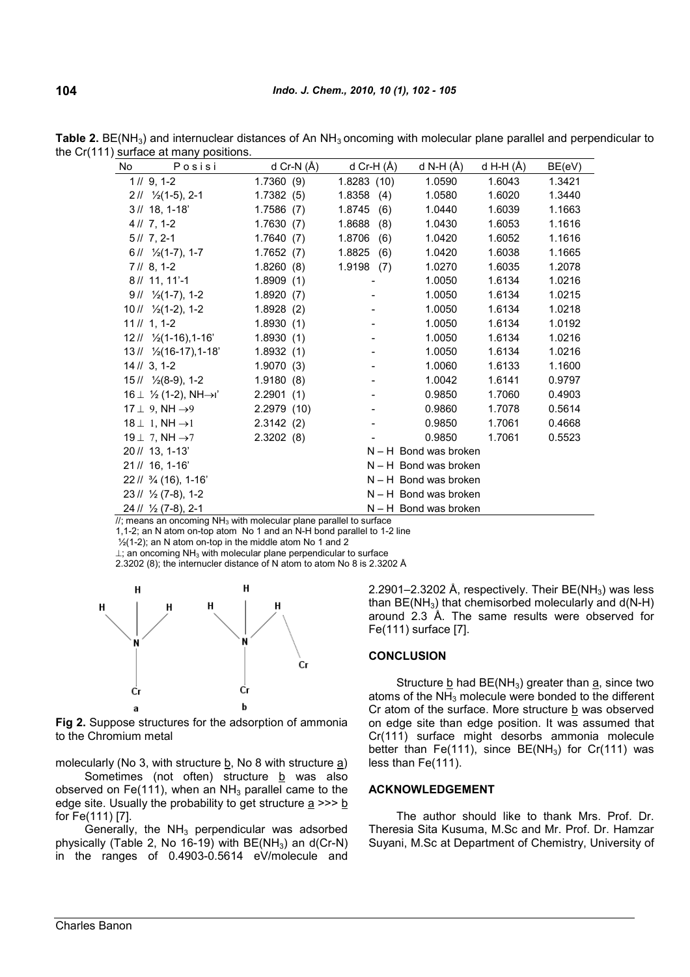| No<br>Posisi                                                                | d Cr-N $(A)$ | d Cr-H (Å)    | d N-H (Å)               | d H-H $(\AA)$ | BE(eV) |
|-----------------------------------------------------------------------------|--------------|---------------|-------------------------|---------------|--------|
| 1 // 9, 1-2                                                                 | 1.7360(9)    | 1.8283(10)    | 1.0590                  | 1.6043        | 1.3421 |
| $211 \frac{1}{2}(1-5)$ , 2-1                                                | 1.7382(5)    | 1.8358(4)     | 1.0580                  | 1.6020        | 1.3440 |
| $3\,$ // 18, 1-18'                                                          | 1.7586(7)    | 1.8745<br>(6) | 1.0440                  | 1.6039        | 1.1663 |
| $41/7, 1-2$                                                                 | 1.7630(7)    | 1.8688<br>(8) | 1.0430                  | 1.6053        | 1.1616 |
| $5/7$ , 2-1                                                                 | 1.7640(7)    | 1.8706(6)     | 1.0420                  | 1.6052        | 1.1616 |
| $611 \frac{1}{2}(1-7), 1-7$                                                 | 1.7652(7)    | 1.8825(6)     | 1.0420                  | 1.6038        | 1.1665 |
| $71/8, 1-2$                                                                 | 1.8260(8)    | 1.9198(7)     | 1.0270                  | 1.6035        | 1.2078 |
| $8/11, 11'-1$                                                               | 1.8909(1)    |               | 1.0050                  | 1.6134        | 1.0216 |
| $911 \frac{1}{2}(1-7), 1-2$                                                 | 1.8920(7)    |               | 1.0050                  | 1.6134        | 1.0215 |
| $1011 \frac{1}{2}(1-2)$ , 1-2                                               | 1.8928(2)    |               | 1.0050                  | 1.6134        | 1.0218 |
| $11 \frac{1}{1}$ , 1-2                                                      | 1.8930(1)    |               | 1.0050                  | 1.6134        | 1.0192 |
| $121/ \frac{1}{2}(1-16)$ , 1-16'                                            | 1.8930(1)    |               | 1.0050                  | 1.6134        | 1.0216 |
| $13\frac{\textit{1}}{\textit{2}}$ $\frac{\textit{16}}{\textit{17}}$ , 1-18' | 1.8932(1)    |               | 1.0050                  | 1.6134        | 1.0216 |
| $14 \,$ // 3, 1-2                                                           | 1.9070(3)    |               | 1.0060                  | 1.6133        | 1.1600 |
| $15\frac{1}{2}(8-9)$ , 1-2                                                  | 1.9180(8)    |               | 1.0042                  | 1.6141        | 0.9797 |
| $16 \perp \frac{1}{2}$ (1-2), NH $\rightarrow$ i'                           | 2.2901(1)    |               | 0.9850                  | 1.7060        | 0.4903 |
| $17 \perp 9$ , NH $\rightarrow 9$                                           | 2.2979 (10)  |               | 0.9860                  | 1.7078        | 0.5614 |
| $18 \perp 1$ , NH $\rightarrow$ 1                                           | 2.3142(2)    |               | 0.9850                  | 1.7061        | 0.4668 |
| 19 $\perp$ 7, NH $\rightarrow$ 7                                            | 2.3202(8)    |               | 0.9850                  | 1.7061        | 0.5523 |
| $20$ // 13, 1-13'                                                           |              |               | $N - H$ Bond was broken |               |        |
| $21\frac{1}{6}$ , 1-16 <sup>'</sup>                                         |              |               | $N - H$ Bond was broken |               |        |
| $22$ // $\frac{3}{4}$ (16), 1-16'                                           |              |               | $N - H$ Bond was broken |               |        |
| $23 \frac{1}{2} \frac{1}{2} (7-8)$ , 1-2                                    |              |               | $N - H$ Bond was broken |               |        |
| 24 // 1/2 (7-8), 2-1                                                        |              |               | $N - H$ Bond was broken |               |        |

**Table 2.** BE(NH<sub>3</sub>) and internuclear distances of An NH<sub>3</sub> oncoming with molecular plane parallel and perpendicular to the Cr(111) surface at many positions.

 $\frac{1}{2}$ ; means an oncoming NH<sub>3</sub> with molecular plane parallel to surface

1,1-2; an N atom on-top atom No 1 and an N-H bond parallel to 1-2 line

 $\frac{1}{2}$ (1-2); an N atom on-top in the middle atom No 1 and 2

 $\perp$ ; an oncoming NH<sub>3</sub> with molecular plane perpendicular to surface

2.3202 (8); the internucler distance of N atom to atom No 8 is 2.3202 Å



**Fig 2.** Suppose structures for the adsorption of ammonia to the Chromium metal

molecularly (No 3, with structure  $\underline{b}$ , No 8 with structure  $\underline{a}$ ) Sometimes (not often) structure  $b$  was also observed on Fe(111), when an  $NH<sub>3</sub>$  parallel came to the edge site. Usually the probability to get structure  $a \gg b$ for Fe(111) [7].

Generally, the  $NH<sub>3</sub>$  perpendicular was adsorbed physically (Table 2, No 16-19) with  $BE(NH<sub>3</sub>)$  an d(Cr-N) in the ranges of 0.4903-0.5614 eV/molecule and 2.2901–2.3202 Å, respectively. Their BE(NH<sub>3</sub>) was less than  $BE(NH_3)$  that chemisorbed molecularly and  $d(N-H)$ around 2.3 Å. The same results were observed for Fe(111) surface [7].

#### **CONCLUSION**

Structure b had  $BE(NH_3)$  greater than a, since two atoms of the  $NH<sub>3</sub>$  molecule were bonded to the different Cr atom of the surface. More structure  $b$  was observed on edge site than edge position. It was assumed that Cr(111) surface might desorbs ammonia molecule better than Fe(111), since  $BE(NH_3)$  for Cr(111) was less than Fe(111).

## **ACKNOWLEDGEMENT**

The author should like to thank Mrs. Prof. Dr. Theresia Sita Kusuma, M.Sc and Mr. Prof. Dr. Hamzar Suyani, M.Sc at Department of Chemistry, University of